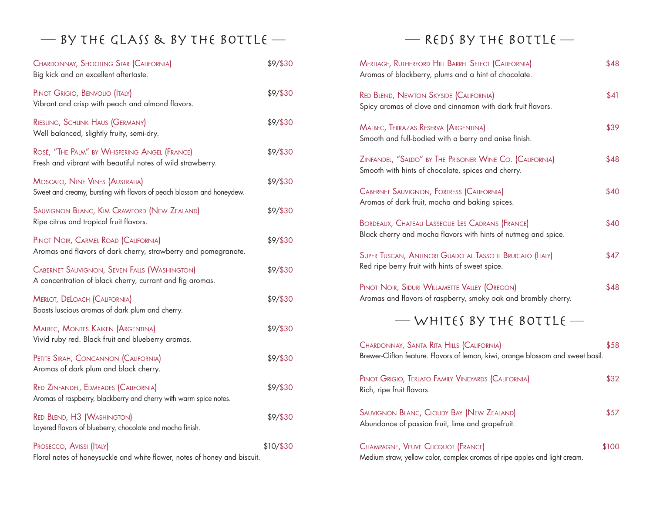## $-$  BY THE GLASS & BY THE BOTTLE  $-$  REDS BY THE BOTTLE  $-$

| CHARDONNAY, SHOOTING STAR (CALIFORNIA)<br>Big kick and an excellent aftertaste.                                  | \$9/\$30  |
|------------------------------------------------------------------------------------------------------------------|-----------|
| PINOT GRIGIO, BENVOLIO (ITALY)<br>Vibrant and crisp with peach and almond flavors.                               | \$9/\$30  |
| RIESLING, SCHLINK HAUS (GERMANY)<br>Well balanced, slightly fruity, semi-dry.                                    | \$9/\$30  |
| ROSÉ, "THE PALM" BY WHISPERING ANGEL (FRANCE)<br>Fresh and vibrant with beautiful notes of wild strawberry.      | \$9/\$30  |
| MOSCATO, NINE VINES (AUSTRALIA)<br>Sweet and creamy, bursting with flavors of peach blossom and honeydew.        | \$9/\$30  |
| SAUVIGNON BLANC, KIM CRAWFORD (NEW ZEALAND)<br>Ripe citrus and tropical fruit flavors.                           | \$9/\$30  |
| PINOT NOIR, CARMEL ROAD (CALIFORNIA)<br>Aromas and flavors of dark cherry, strawberry and pomegranate.           | \$9/\$30  |
| <b>CABERNET SAUVIGNON, SEVEN FALLS (WASHINGTON)</b><br>A concentration of black cherry, currant and fig aromas.  | \$9/\$30  |
| <b>MERLOT, DELOACH (CALIFORNIA)</b><br>Boasts luscious aromas of dark plum and cherry.                           | \$9/\$30  |
| <b>MALBEC, MONTES KAIKEN (ARGENTINA)</b><br>Vivid ruby red. Black fruit and blueberry aromas.                    | \$9/\$30  |
| PETITE SIRAH, CONCANNON (CALIFORNIA)<br>Aromas of dark plum and black cherry.                                    | \$9/\$30  |
| <b>RED ZINFANDEL, EDMEADES (CALIFORNIA)</b><br>Aromas of raspberry, blackberry and cherry with warm spice notes. | \$9/\$30  |
| <b>RED BLEND, H3 (WASHINGTON)</b><br>Layered flavors of blueberry, chocolate and mocha finish.                   | \$9/\$30  |
| PROSECCO, AVISSI (ITALY)<br>Floral notes of honeysuckle and white flower, notes of honey and biscuit.            | \$10/\$30 |

| MERITAGE, RUTHERFORD HILL BARREL SELECT (CALIFORNIA)<br>Aromas of blackberry, plums and a hint of chocolate.                 | \$48  |
|------------------------------------------------------------------------------------------------------------------------------|-------|
| <b>RED BLEND, NEWTON SKYSIDE (CALIFORNIA)</b><br>Spicy aromas of clove and cinnamon with dark fruit flavors.                 | \$41  |
| MALBEC, TERRAZAS RESERVA (ARGENTINA)<br>Smooth and full-bodied with a berry and anise finish.                                | \$39  |
| ZINFANDEL, "SALDO" BY THE PRISONER WINE CO. (CALIFORNIA)<br>Smooth with hints of chocolate, spices and cherry.               | \$48  |
| <b>CABERNET SAUVIGNON, FORTRESS (CALIFORNIA)</b><br>Aromas of dark fruit, mocha and baking spices.                           | \$40  |
| BORDEAUX, CHATEAU LASSEGUE LES CADRANS (FRANCE)<br>Black cherry and mocha flavors with hints of nutmeg and spice.            | \$40  |
| SUPER TUSCAN, ANTINORI GUADO AL TASSO IL BRUICATO (ITALY)<br>Red ripe berry fruit with hints of sweet spice.                 | \$47  |
| PINOT NOIR, SIDURI WILLAMETTE VALLEY (OREGON)<br>Aromas and flavors of raspberry, smoky oak and brambly cherry.              | \$48  |
| — WHITES BY THE BOTTLE —                                                                                                     |       |
| CHARDONNAY, SANTA RITA HILLS (CALIFORNIA)<br>Brewer-Clifton feature. Flavors of lemon, kiwi, orange blossom and sweet basil. | \$58  |
| PINOT GRIGIO, TERLATO FAMILY VINEYARDS (CALIFORNIA)<br>Rich, ripe fruit flavors.                                             | \$32  |
| SAUVIGNON BLANC, CLOUDY BAY (NEW ZEALAND)<br>Abundance of passion fruit, lime and grapefruit.                                | \$57  |
| CHAMPAGNE, VEUVE CLICQUOT (FRANCE)<br>Medium straw, yellow color, complex aromas of ripe apples and light cream.             | \$100 |